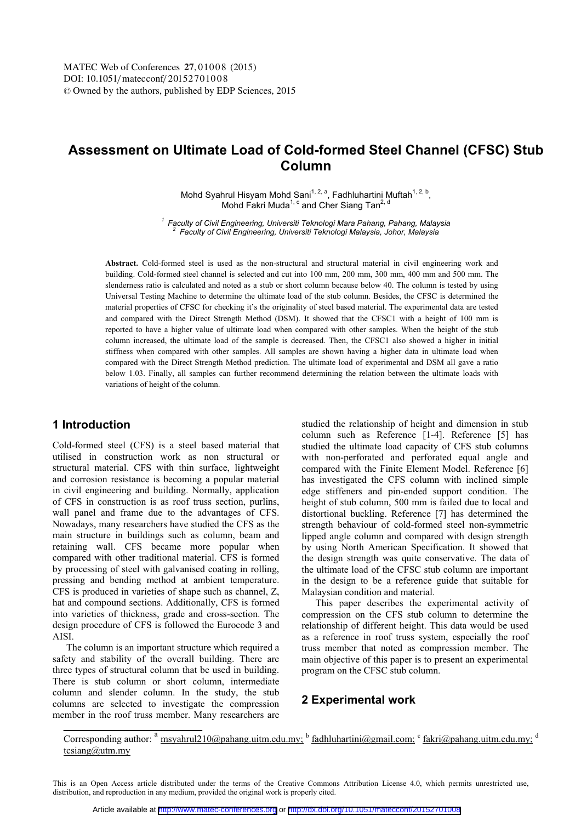# **Assessment on Ultimate Load of Cold-formed Steel Channel (CFSC) Stub Column**

Mohd Syahrul Hisyam Mohd Sani<sup>1, 2, a</sup>, Fadhluhartini Muftah<sup>1, 2, b</sup>, Mohd Fakri Muda<sup>1, c</sup> and Cher Siang Tan<sup>2, d</sup>

*<sup>1</sup> Faculty of Civil Engineering, Universiti Teknologi Mara Pahang, Pahang, Malaysia 2 Faculty of Civil Engineering, Universiti Teknologi Malaysia, Johor, Malaysia* 

**Abstract.** Cold-formed steel is used as the non-structural and structural material in civil engineering work and building. Cold-formed steel channel is selected and cut into 100 mm, 200 mm, 300 mm, 400 mm and 500 mm. The slenderness ratio is calculated and noted as a stub or short column because below 40. The column is tested by using Universal Testing Machine to determine the ultimate load of the stub column. Besides, the CFSC is determined the material properties of CFSC for checking it's the originality of steel based material. The experimental data are tested and compared with the Direct Strength Method (DSM). It showed that the CFSC1 with a height of 100 mm is reported to have a higher value of ultimate load when compared with other samples. When the height of the stub column increased, the ultimate load of the sample is decreased. Then, the CFSC1 also showed a higher in initial stiffness when compared with other samples. All samples are shown having a higher data in ultimate load when compared with the Direct Strength Method prediction. The ultimate load of experimental and DSM all gave a ratio below 1.03. Finally, all samples can further recommend determining the relation between the ultimate loads with variations of height of the column.

## **1 Introduction**

Cold-formed steel (CFS) is a steel based material that utilised in construction work as non structural or structural material. CFS with thin surface, lightweight and corrosion resistance is becoming a popular material in civil engineering and building. Normally, application of CFS in construction is as roof truss section, purlins, wall panel and frame due to the advantages of CFS. Nowadays, many researchers have studied the CFS as the main structure in buildings such as column, beam and retaining wall. CFS became more popular when compared with other traditional material. CFS is formed by processing of steel with galvanised coating in rolling, pressing and bending method at ambient temperature. CFS is produced in varieties of shape such as channel, Z, hat and compound sections. Additionally, CFS is formed into varieties of thickness, grade and cross-section. The design procedure of CFS is followed the Eurocode 3 and AISI.

The column is an important structure which required a safety and stability of the overall building. There are three types of structural column that be used in building. There is stub column or short column, intermediate column and slender column. In the study, the stub columns are selected to investigate the compression member in the roof truss member. Many researchers are studied the relationship of height and dimension in stub column such as Reference [1-4]. Reference [5] has studied the ultimate load capacity of CFS stub columns with non-perforated and perforated equal angle and compared with the Finite Element Model. Reference [6] has investigated the CFS column with inclined simple edge stiffeners and pin-ended support condition. The height of stub column, 500 mm is failed due to local and distortional buckling. Reference [7] has determined the strength behaviour of cold-formed steel non-symmetric lipped angle column and compared with design strength by using North American Specification. It showed that the design strength was quite conservative. The data of the ultimate load of the CFSC stub column are important in the design to be a reference guide that suitable for Malaysian condition and material.

This paper describes the experimental activity of compression on the CFS stub column to determine the relationship of different height. This data would be used as a reference in roof truss system, especially the roof truss member that noted as compression member. The main objective of this paper is to present an experimental program on the CFSC stub column.

## **2 Experimental work**

Corresponding author:  $a$  msyahrul210@pahang.uitm.edu.my; b fadhluhartini@gmail.com; c fakri@pahang.uitm.edu.my; d tcsiang@utm.my

This is an Open Access article distributed under the terms of the Creative Commons Attribution License 4.0, which permits unrestricted use, distribution, and reproduction in any medium, provided the original work is properly cited.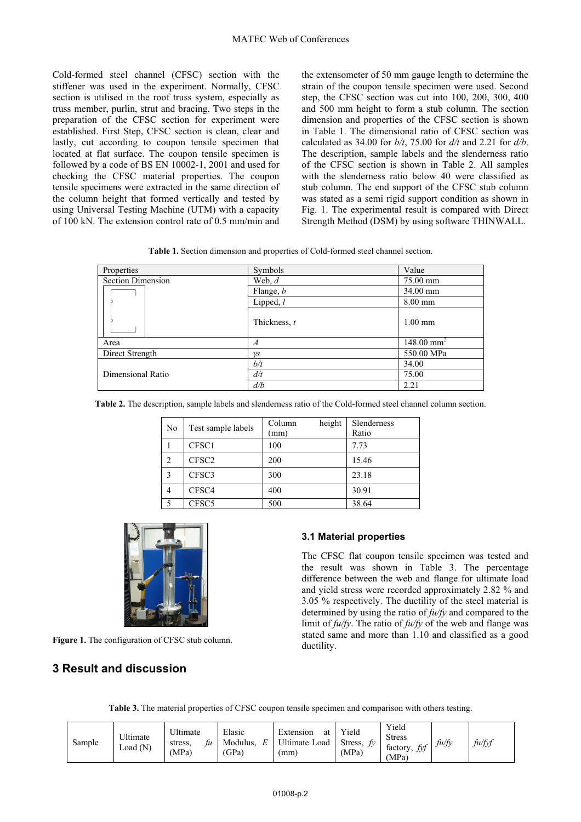Cold-formed steel channel (CFSC) section with the stiffener was used in the experiment. Normally, CFSC section is utilised in the roof truss system, especially as truss member, purlin, strut and bracing. Two steps in the preparation of the CFSC section for experiment were established. First Step, CFSC section is clean, clear and lastly, cut according to coupon tensile specimen that located at flat surface. The coupon tensile specimen is followed by a code of BS EN 10002-1, 2001 and used for checking the CFSC material properties. The coupon tensile specimens were extracted in the same direction of the column height that formed vertically and tested by using Universal Testing Machine (UTM) with a capacity of 100 kN. The extension control rate of 0.5 mm/min and the extensometer of 50 mm gauge length to determine the strain of the coupon tensile specimen were used. Second step, the CFSC section was cut into 100, 200, 300, 400 and 500 mm height to form a stub column. The section dimension and properties of the CFSC section is shown in Table 1. The dimensional ratio of CFSC section was calculated as 34.00 for *b/t*, 75.00 for *d/t* and 2.21 for *d/b*. The description, sample labels and the slenderness ratio of the CFSC section is shown in Table 2. All samples with the slenderness ratio below 40 were classified as stub column. The end support of the CFSC stub column was stated as a semi rigid support condition as shown in Fig. 1. The experimental result is compared with Direct Strength Method (DSM) by using software THINWALL.

**Table 1.** Section dimension and properties of Cold-formed steel channel section.

| Properties               | Symbols          | Value                    |  |
|--------------------------|------------------|--------------------------|--|
| <b>Section Dimension</b> | Web, $d$         | 75.00 mm                 |  |
|                          | Flange, <i>b</i> | 34.00 mm                 |  |
|                          | Lipped, $l$      | 8.00 mm                  |  |
|                          | Thickness, t     | $1.00$ mm                |  |
| Area                     | A                | $148.00$ mm <sup>2</sup> |  |
| Direct Strength          | $\gamma S$       | 550.00 MPa               |  |
|                          | b/t              | 34.00                    |  |
| Dimensional Ratio        | d/t              | 75.00                    |  |
|                          | d/b              | 2.21                     |  |

**Table 2.** The description, sample labels and slenderness ratio of the Cold-formed steel channel column section.

| No             | Test sample labels | height<br>Column<br>(mm) | Slenderness<br>Ratio |
|----------------|--------------------|--------------------------|----------------------|
|                | CFSC1              | 100                      | 7.73                 |
| $\overline{c}$ | CFSC <sub>2</sub>  | 200                      | 15.46                |
| 3              | CFSC3              | 300                      | 23.18                |
|                | CFSC4              | 400                      | 30.91                |
|                | CFSC5              | 500                      | 38.64                |



**Figure 1.** The configuration of CFSC stub column.

## **3 Result and discussion**

#### **3.1 Material properties**

The CFSC flat coupon tensile specimen was tested and the result was shown in Table 3. The percentage difference between the web and flange for ultimate load and yield stress were recorded approximately 2.82 % and 3.05 % respectively. The ductility of the steel material is determined by using the ratio of *fu/fy* and compared to the limit of *fu/fy*. The ratio of *fu/fy* of the web and flange was stated same and more than 1.10 and classified as a good ductility.

| Table 3. The material properties of CFSC coupon tensile specimen and comparison with others testing. |  |  |  |  |  |
|------------------------------------------------------------------------------------------------------|--|--|--|--|--|
|                                                                                                      |  |  |  |  |  |

| Sample | Ultimate<br>Load(N) | Ultimate<br>stress.<br>tи<br>(MPa) | Elasic<br>E<br>Modulus.<br>(GPa) | Extension<br>at<br>Ultimate Load<br>mm) | Yield<br>Stress,<br>(MPa) | Yield<br><b>Stress</b><br>factory, fyf<br>(MPa) | fu/fy | fu/fyf |
|--------|---------------------|------------------------------------|----------------------------------|-----------------------------------------|---------------------------|-------------------------------------------------|-------|--------|
|--------|---------------------|------------------------------------|----------------------------------|-----------------------------------------|---------------------------|-------------------------------------------------|-------|--------|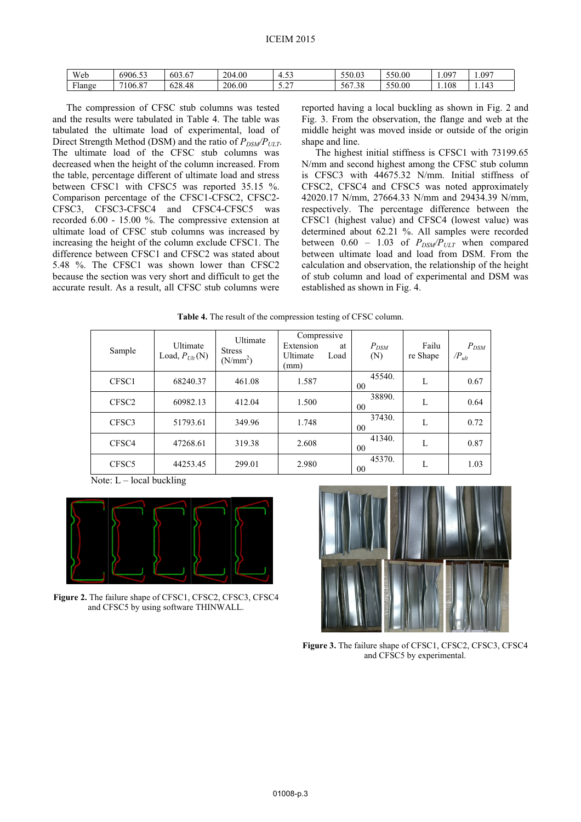| Web                      | 6906.53 | 603.67               | 204<br>$+00.$ | $\sim$ $\sim$<br>ر ب      | 550.03                              | 550.00 | 0.097 | 097<br>1.071 |
|--------------------------|---------|----------------------|---------------|---------------------------|-------------------------------------|--------|-------|--------------|
| T <sub>1</sub><br>Flange | 7106.87 | $\sim$<br>.48<br>∪∠ບ | 206.00        | $\sim$<br>$\sim$ . $\sim$ | $\sim$ $\sim$ $\sim$<br>'.38<br>56. | 550.00 | 108   | 1.143        |

The compression of CFSC stub columns was tested and the results were tabulated in Table 4. The table was tabulated the ultimate load of experimental, load of Direct Strength Method (DSM) and the ratio of  $P_{DSM}/P_{ULT}$ . The ultimate load of the CFSC stub columns was decreased when the height of the column increased. From the table, percentage different of ultimate load and stress between CFSC1 with CFSC5 was reported 35.15 %. Comparison percentage of the CFSC1-CFSC2, CFSC2- CFSC3, CFSC3-CFSC4 and CFSC4-CFSC5 was recorded 6.00 - 15.00 %. The compressive extension at ultimate load of CFSC stub columns was increased by increasing the height of the column exclude CFSC1. The difference between CFSC1 and CFSC2 was stated about 5.48 %. The CFSC1 was shown lower than CFSC2 because the section was very short and difficult to get the accurate result. As a result, all CFSC stub columns were

reported having a local buckling as shown in Fig. 2 and Fig. 3. From the observation, the flange and web at the middle height was moved inside or outside of the origin shape and line.

The highest initial stiffness is CFSC1 with 73199.65 N/mm and second highest among the CFSC stub column is CFSC3 with 44675.32 N/mm. Initial stiffness of CFSC2, CFSC4 and CFSC5 was noted approximately 42020.17 N/mm, 27664.33 N/mm and 29434.39 N/mm, respectively. The percentage difference between the CFSC1 (highest value) and CFSC4 (lowest value) was determined about 62.21 %. All samples were recorded between  $0.60 - 1.03$  of  $P_{DSM}/P_{ULT}$  when compared between ultimate load and load from DSM. From the calculation and observation, the relationship of the height of stub column and load of experimental and DSM was established as shown in Fig. 4.

|  | <b>Table 4.</b> The result of the compression testing of CFSC column. |  |
|--|-----------------------------------------------------------------------|--|
|  |                                                                       |  |

| Sample            | Ultimate<br>Load, $P_{Ult}(N)$ | Ultimate<br><b>Stress</b><br>(N/mm <sup>2</sup> ) | Compressive<br>Extension<br><b>Ultimate</b><br>(mm) | at<br>Load | $P_{DSM}$<br>(N) | Failu<br>re Shape | $P_{DSM}$<br>$\langle P_{ult}$ |
|-------------------|--------------------------------|---------------------------------------------------|-----------------------------------------------------|------------|------------------|-------------------|--------------------------------|
| CFSC1             | 68240.37                       | 461.08                                            | 1.587                                               |            | 45540.<br>00     | L                 | 0.67                           |
| CFSC <sub>2</sub> | 60982.13                       | 412.04                                            | 1.500                                               |            | 38890.<br>00     | L                 | 0.64                           |
| CFSC3             | 51793.61                       | 349.96                                            | 1.748                                               |            | 37430.<br>00     | L                 | 0.72                           |
| CFSC <sub>4</sub> | 47268.61                       | 319.38                                            | 2.608                                               |            | 41340.<br>00     | L                 | 0.87                           |
| CFSC <sub>5</sub> | 44253.45                       | 299.01                                            | 2.980                                               |            | 45370.<br>00     | L                 | 1.03                           |

Note:  $L$  – local buckling



**Figure 2.** The failure shape of CFSC1, CFSC2, CFSC3, CFSC4 and CFSC5 by using software THINWALL.



**Figure 3.** The failure shape of CFSC1, CFSC2, CFSC3, CFSC4 and CFSC5 by experimental.